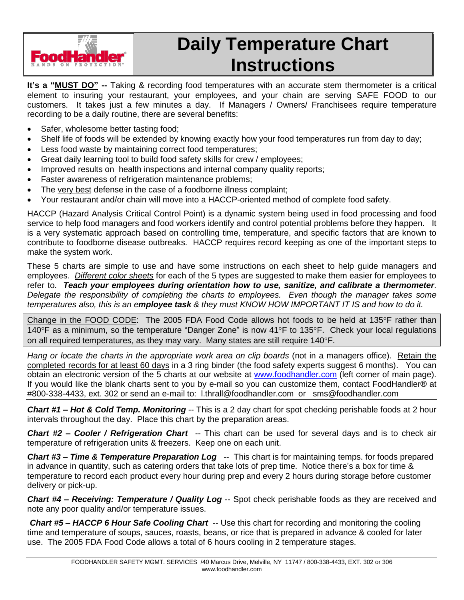

# **Daily Temperature Chart Instructions**

**Itís a ìMUST DOî --** Taking & recording food temperatures with an accurate stem thermometer is a critical element to insuring your restaurant, your employees, and your chain are serving SAFE FOOD to our customers. It takes just a few minutes a day. If Managers / Owners/ Franchisees require temperature recording to be a daily routine, there are several benefits:

- Safer, wholesome better tasting food;
- Shelf life of foods will be extended by knowing exactly how your food temperatures run from day to day;
- Less food waste by maintaining correct food temperatures;
- Great daily learning tool to build food safety skills for crew / employees;
- Improved results on health inspections and internal company quality reports;
- Faster awareness of refrigeration maintenance problems;
- The very best defense in the case of a foodborne illness complaint;
- Your restaurant and/or chain will move into a HACCP-oriented method of complete food safety.

HACCP (Hazard Analysis Critical Control Point) is a dynamic system being used in food processing and food service to help food managers and food workers identify and control potential problems before they happen. It is a very systematic approach based on controlling time, temperature, and specific factors that are known to contribute to foodborne disease outbreaks. HACCP requires record keeping as one of the important steps to make the system work.

These 5 charts are simple to use and have some instructions on each sheet to help guide managers and employees. Different color sheets for each of the 5 types are suggested to make them easier for employees to refer to. **Teach your employees during orientation how to use,sanitize, and calibrate a thermometer**. Delegate the responsibility of completing the charts to employees. Even though the manager takes some temperatures also, this is an e**mployee task** & they must KNOW HOW IMPORTANT IT IS and how to do it.

Change in the FOOD CODE: The 2005 FDA Food Code allows hot foods to be held at 135°F rather than 140°F as a minimum, so the temperature "Danger Zone" is now  $41^{\circ}F$  to 135°F. Check your local regulations on all required temperatures, as they may vary. Many states are still require  $140^{\circ}$ F.

Hang or locate the charts in the appropriate work area on clip boards (not in a managers office). Retain the completed records for at least 60 days in a 3 ring binder (the food safety experts suggest 6 months). You can obtain an electronic version of the 5 charts at our website at [www.foodhandler.com](http://www.foodhandler.com) (left corner of main page). If you would like the blank charts sent to you by e-mail so you can customize them, contact FoodHandler® at #800-338-4433, ext. 302 or send an e-mail to: l.thrall@foodhandler.com or sms@foodhandler.com

**Chart #1 – Hot & Cold Temp. Monitoring** -- This is a 2 day chart for spot checking perishable foods at 2 hour intervals throughout the day. Place this chart by the preparation areas.

**Chart #2** – Cooler / Refrigeration Chart -- This chart can be used for several days and is to check air temperature of refrigeration units & freezers. Keep one on each unit.

**Chart #3 – Time & Temperature Preparation Log --** This chart is for maintaining temps. for foods prepared in advance in quantity, such as catering orders that take lots of prep time. Notice there's a box for time & temperature to record each product every hour during prep and every 2 hours during storage before customer delivery or pick-up.

**Chart #4 - Receiving: Temperature / Quality Log --** Spot check perishable foods as they are received and note any poor quality and/or temperature issues.

**Chart #5** – HACCP 6 Hour Safe Cooling Chart -- Use this chart for recording and monitoring the cooling time and temperature of soups, sauces, roasts, beans, or rice that is prepared in advance & cooled for later use. The 2005 FDA Food Code allows a total of 6 hours cooling in 2 temperature stages.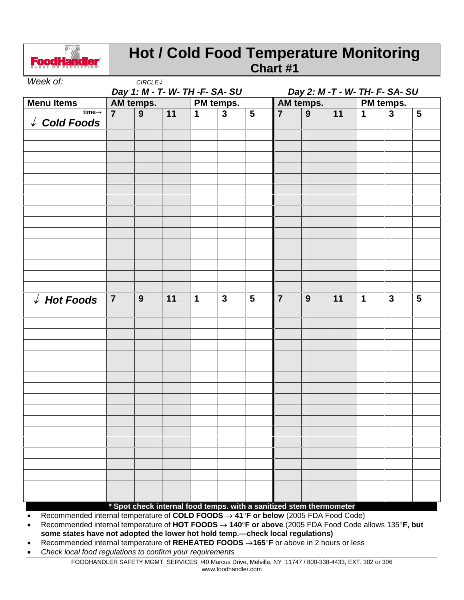

### **Hot / Cold Food Temperature Monitoring Chart #1**

| Week of:                                              |                | $CIRCLE\sqrt$  |           |                                |                |                |                |                                                                     |    |             |                         |                |
|-------------------------------------------------------|----------------|----------------|-----------|--------------------------------|----------------|----------------|----------------|---------------------------------------------------------------------|----|-------------|-------------------------|----------------|
|                                                       |                |                |           | Day 1: M - T- W- TH -F- SA- SU |                |                |                | Day 2: M -T - W- TH- F- SA- SU                                      |    |             |                         |                |
| <b>Menu Items</b>                                     | AM temps.      |                | PM temps. |                                | AM temps.      |                |                | PM temps.                                                           |    |             |                         |                |
| time $\rightarrow$<br>$\sqrt{\phantom{a}}$ Cold Foods | $\overline{7}$ | $\overline{9}$ | 11        | $\mathbf 1$                    | $\overline{3}$ | $5\phantom{1}$ | $\overline{7}$ | $\overline{9}$                                                      | 11 | $\mathbf 1$ | $\overline{\mathbf{3}}$ | $5\phantom{1}$ |
|                                                       |                |                |           |                                |                |                |                |                                                                     |    |             |                         |                |
|                                                       |                |                |           |                                |                |                |                |                                                                     |    |             |                         |                |
|                                                       |                |                |           |                                |                |                |                |                                                                     |    |             |                         |                |
|                                                       |                |                |           |                                |                |                |                |                                                                     |    |             |                         |                |
|                                                       |                |                |           |                                |                |                |                |                                                                     |    |             |                         |                |
|                                                       |                |                |           |                                |                |                |                |                                                                     |    |             |                         |                |
|                                                       |                |                |           |                                |                |                |                |                                                                     |    |             |                         |                |
|                                                       |                |                |           |                                |                |                |                |                                                                     |    |             |                         |                |
|                                                       |                |                |           |                                |                |                |                |                                                                     |    |             |                         |                |
|                                                       |                |                |           |                                |                |                |                |                                                                     |    |             |                         |                |
|                                                       |                |                |           |                                |                |                |                |                                                                     |    |             |                         |                |
|                                                       |                |                |           |                                |                |                |                |                                                                     |    |             |                         |                |
|                                                       |                |                |           |                                |                |                |                |                                                                     |    |             |                         |                |
|                                                       |                |                |           |                                |                |                |                |                                                                     |    |             |                         |                |
|                                                       |                |                |           |                                |                |                |                |                                                                     |    |             |                         |                |
| $\sqrt{ }$ Hot Foods                                  | $\overline{7}$ | 9              | 11        | $\mathbf 1$                    | $\mathbf{3}$   | $5\phantom{1}$ | $\overline{7}$ | 9                                                                   | 11 | 1           | $\mathbf{3}$            | 5              |
|                                                       |                |                |           |                                |                |                |                |                                                                     |    |             |                         |                |
|                                                       |                |                |           |                                |                |                |                |                                                                     |    |             |                         |                |
|                                                       |                |                |           |                                |                |                |                |                                                                     |    |             |                         |                |
|                                                       |                |                |           |                                |                |                |                |                                                                     |    |             |                         |                |
|                                                       |                |                |           |                                |                |                |                |                                                                     |    |             |                         |                |
|                                                       |                |                |           |                                |                |                |                |                                                                     |    |             |                         |                |
|                                                       |                |                |           |                                |                |                |                |                                                                     |    |             |                         |                |
|                                                       |                |                |           |                                |                |                |                |                                                                     |    |             |                         |                |
|                                                       |                |                |           |                                |                |                |                |                                                                     |    |             |                         |                |
|                                                       |                |                |           |                                |                |                |                |                                                                     |    |             |                         |                |
|                                                       |                |                |           |                                |                |                |                |                                                                     |    |             |                         |                |
|                                                       |                |                |           |                                |                |                |                |                                                                     |    |             |                         |                |
|                                                       |                |                |           |                                |                |                |                |                                                                     |    |             |                         |                |
|                                                       |                |                |           |                                |                |                |                |                                                                     |    |             |                         |                |
|                                                       |                |                |           |                                |                |                |                |                                                                     |    |             |                         |                |
|                                                       |                |                |           |                                |                |                |                |                                                                     |    |             |                         |                |
|                                                       |                |                |           |                                |                |                |                |                                                                     |    |             |                         |                |
|                                                       |                |                |           |                                |                |                |                | * Spot check internal food temps. with a sanitized stem thermometer |    |             |                         |                |

Recommended internal temperature of **COLD FOODS 41F or below** (2005 FDA Food Code)

 Recommended internal temperature of **HOT FOODS 140F or above** (2005 FDA Food Code allows 135**F, but some states have not adopted the lower hot hold temp.ócheck local regulations)**

- Recommended internal temperature of **REHEATED FOODS 165F** or above in 2 hours or less
- Check local food regulations to confirm your requirements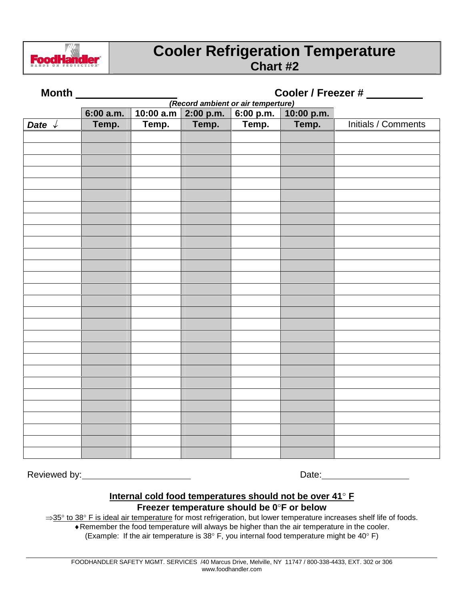

### **Cooler Refrigeration Temperature Chart #2**

|                 |           |       |                     |                                                 |            | Cooler / Freezer # _________ |
|-----------------|-----------|-------|---------------------|-------------------------------------------------|------------|------------------------------|
|                 | 6:00 a.m. |       | 10:00 a.m 2:00 p.m. | (Record ambient or air temperture)<br>6:00 p.m. | 10:00 p.m. |                              |
| Date $\sqrt{ }$ | Temp.     | Temp. | Temp.               | Temp.                                           | Temp.      | <b>Initials / Comments</b>   |
|                 |           |       |                     |                                                 |            |                              |
|                 |           |       |                     |                                                 |            |                              |
|                 |           |       |                     |                                                 |            |                              |
|                 |           |       |                     |                                                 |            |                              |
|                 |           |       |                     |                                                 |            |                              |
|                 |           |       |                     |                                                 |            |                              |
|                 |           |       |                     |                                                 |            |                              |
|                 |           |       |                     |                                                 |            |                              |
|                 |           |       |                     |                                                 |            |                              |
|                 |           |       |                     |                                                 |            |                              |
|                 |           |       |                     |                                                 |            |                              |
|                 |           |       |                     |                                                 |            |                              |
|                 |           |       |                     |                                                 |            |                              |
|                 |           |       |                     |                                                 |            |                              |
|                 |           |       |                     |                                                 |            |                              |
|                 |           |       |                     |                                                 |            |                              |
|                 |           |       |                     |                                                 |            |                              |
|                 |           |       |                     |                                                 |            |                              |
|                 |           |       |                     |                                                 |            |                              |
|                 |           |       |                     |                                                 |            |                              |
|                 |           |       |                     |                                                 |            |                              |
|                 |           |       |                     |                                                 |            |                              |
|                 |           |       |                     |                                                 |            |                              |
|                 |           |       |                     |                                                 |            |                              |
|                 |           |       |                     |                                                 |            |                              |
|                 |           |       |                     |                                                 |            |                              |
|                 |           |       |                     |                                                 |            |                              |
|                 |           |       |                     |                                                 |            |                              |

Reviewed by: Date:

#### **Internal cold food temperatures should not be over 41 F Freezer temperature should be 0F or below**

 $\Rightarrow$ 35 $\degree$  to 38 $\degree$  F is ideal air temperature for most refrigeration, but lower temperature increases shelf life of foods.

Remember the food temperature will always be higher than the air temperature in the cooler.

(Example: If the air temperature is 38 $\degree$  F, you internal food temperature might be 40 $\degree$  F)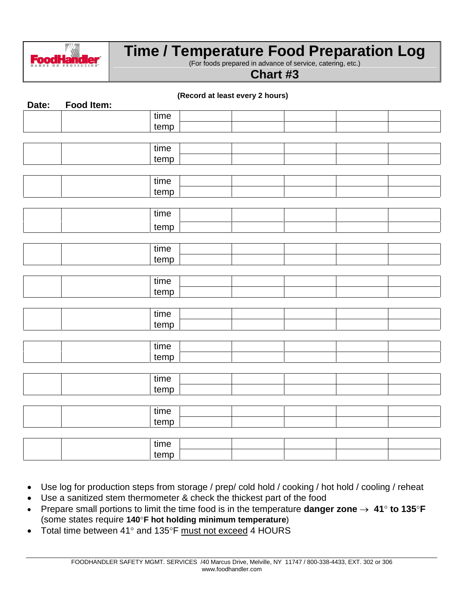

## **Time / Temperature Food Preparation Log**

(For foods prepared in advance of service, catering, etc.)

**Chart #3**

|       |            |      | (Record at least every 2 hours) |  |  |
|-------|------------|------|---------------------------------|--|--|
| Date: | Food Item: |      |                                 |  |  |
|       |            | time |                                 |  |  |
|       |            | temp |                                 |  |  |
|       |            |      |                                 |  |  |
|       |            | time |                                 |  |  |
|       |            | temp |                                 |  |  |
|       |            |      |                                 |  |  |
|       |            | time |                                 |  |  |
|       |            | temp |                                 |  |  |
|       |            |      |                                 |  |  |
|       |            | time |                                 |  |  |
|       |            | temp |                                 |  |  |
|       |            |      |                                 |  |  |
|       |            | time |                                 |  |  |
|       |            | temp |                                 |  |  |
|       |            |      |                                 |  |  |
|       |            | time |                                 |  |  |
|       |            | temp |                                 |  |  |
|       |            |      |                                 |  |  |
|       |            | time |                                 |  |  |
|       |            | temp |                                 |  |  |
|       |            |      |                                 |  |  |
|       |            | time |                                 |  |  |
|       |            | temp |                                 |  |  |
|       |            |      |                                 |  |  |
|       |            | time |                                 |  |  |
|       |            | temp |                                 |  |  |
|       |            |      |                                 |  |  |
|       |            | time |                                 |  |  |
|       |            | temp |                                 |  |  |
|       |            |      |                                 |  |  |
|       |            | time |                                 |  |  |

- Use log for production steps from storage / prep/ cold hold / cooking / hot hold / cooling / reheat
- Use a sanitized stem thermometer & check the thickest part of the food
- Prepare small portions to limit the time food is in the temperature **danger zone**  $\rightarrow$  41° to 135°F (some states require **140F hot holding minimum temperature**)
- Total time between 41 $^{\circ}$  and 135 $^{\circ}$ F must not exceed 4 HOURS

temp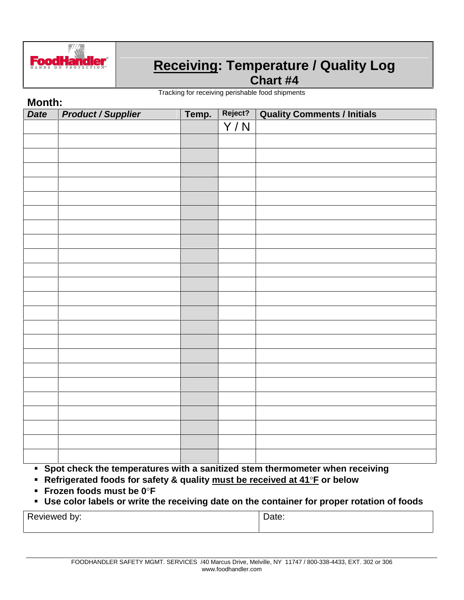

# **Receiving: Temperature / Quality Log**

**Chart #4**

Tracking for receiving perishable food shipments

| Month:                    |       |         |                                    |  |  |  |  |  |
|---------------------------|-------|---------|------------------------------------|--|--|--|--|--|
| <b>Product / Supplier</b> | Temp. | Reject? | <b>Quality Comments / Initials</b> |  |  |  |  |  |
|                           |       | Y/N     |                                    |  |  |  |  |  |
|                           |       |         |                                    |  |  |  |  |  |
|                           |       |         |                                    |  |  |  |  |  |
|                           |       |         |                                    |  |  |  |  |  |
|                           |       |         |                                    |  |  |  |  |  |
|                           |       |         |                                    |  |  |  |  |  |
|                           |       |         |                                    |  |  |  |  |  |
|                           |       |         |                                    |  |  |  |  |  |
|                           |       |         |                                    |  |  |  |  |  |
|                           |       |         |                                    |  |  |  |  |  |
|                           |       |         |                                    |  |  |  |  |  |
|                           |       |         |                                    |  |  |  |  |  |
|                           |       |         |                                    |  |  |  |  |  |
|                           |       |         |                                    |  |  |  |  |  |
|                           |       |         |                                    |  |  |  |  |  |
|                           |       |         |                                    |  |  |  |  |  |
|                           |       |         |                                    |  |  |  |  |  |
|                           |       |         |                                    |  |  |  |  |  |
|                           |       |         |                                    |  |  |  |  |  |
|                           |       |         |                                    |  |  |  |  |  |
|                           |       |         |                                    |  |  |  |  |  |
|                           |       |         |                                    |  |  |  |  |  |
|                           |       |         |                                    |  |  |  |  |  |
|                           |       |         |                                    |  |  |  |  |  |
|                           |       |         |                                    |  |  |  |  |  |
|                           |       |         |                                    |  |  |  |  |  |
|                           |       |         |                                    |  |  |  |  |  |
|                           |       |         |                                    |  |  |  |  |  |

- **Frozen foods must be 0F**
- **Use color labels orwrite the receiving date on the container for proper rotation of foods**

Reviewed by: The Contract of the Date: